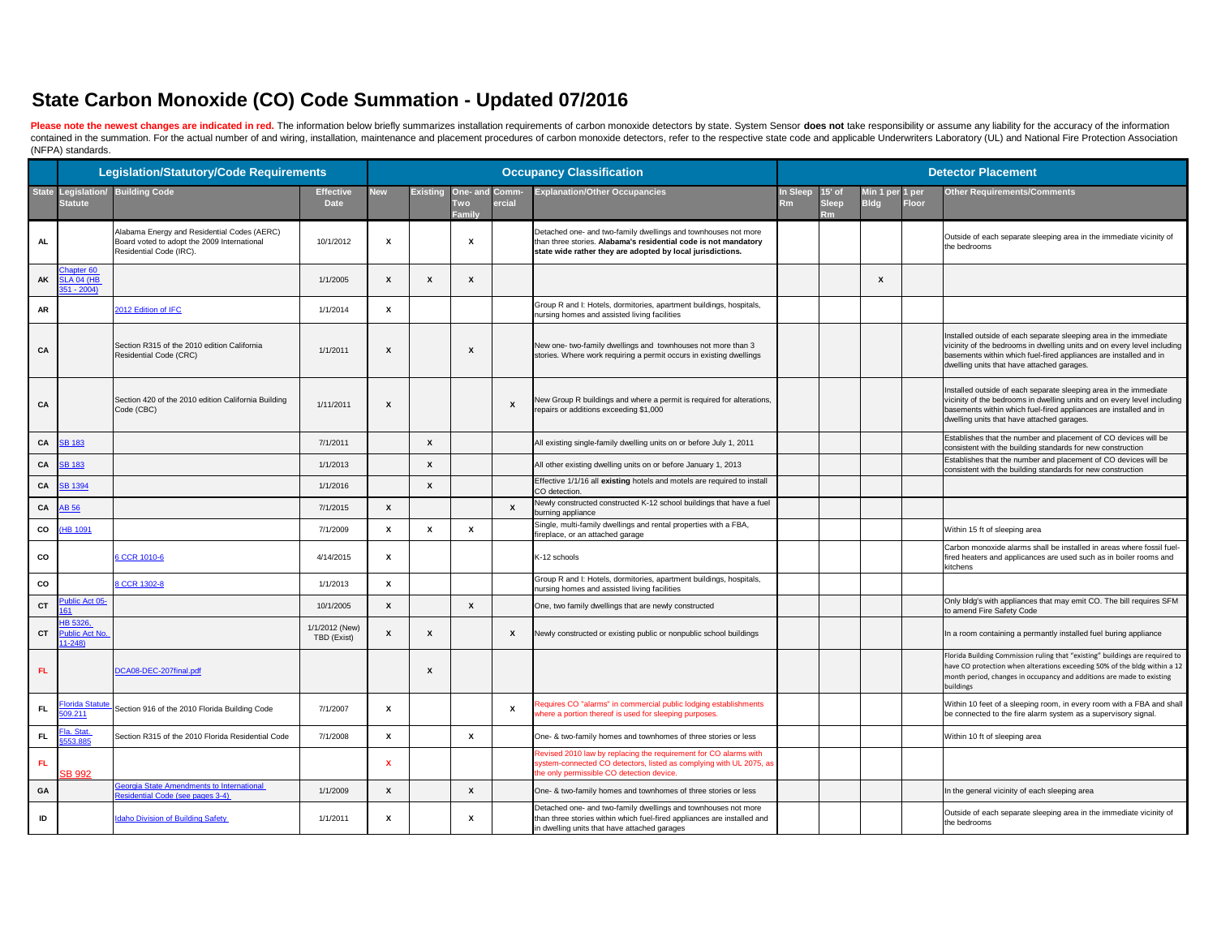Please note the newest changes are indicated in red. The information below briefly summarizes installation requirements of carbon monoxide detectors by state. System Sensor does not take responsibility or assume any liabil contained in the summation. For the actual number of and wiring, installation, maintenance and placement procedures of carbon monoxide detectors, refer to the respective state code and applicable Underwriters Laboratory (U (NFPA) standards.

|           |                                                | <b>Legislation/Statutory/Code Requirements</b>                                                                        |                                 |                           |                           |                                               |                           | <b>Occupancy Classification</b>                                                                                                                                                                 |                        | <b>Detector Placement</b> |                                |              |                                                                                                                                                                                                                                                                 |  |  |  |  |  |
|-----------|------------------------------------------------|-----------------------------------------------------------------------------------------------------------------------|---------------------------------|---------------------------|---------------------------|-----------------------------------------------|---------------------------|-------------------------------------------------------------------------------------------------------------------------------------------------------------------------------------------------|------------------------|---------------------------|--------------------------------|--------------|-----------------------------------------------------------------------------------------------------------------------------------------------------------------------------------------------------------------------------------------------------------------|--|--|--|--|--|
| State     | <b>Statute</b>                                 | Legislation/ Building Code                                                                                            | <b>Effective</b><br><b>Date</b> | <b>New</b>                | <b>Existing</b>           | One- and Comm-<br><b>Two</b><br><b>Family</b> | ercial                    | <b>Explanation/Other Occupancies</b>                                                                                                                                                            | <b>In Sleep</b><br>Rml | l5' of<br>Sleep           | Min 1 per 1 per<br><b>Bldg</b> | <b>Floor</b> | <b>Other Requirements/Comments</b>                                                                                                                                                                                                                              |  |  |  |  |  |
| <b>AL</b> |                                                | Alabama Energy and Residential Codes (AERC)<br>Board voted to adopt the 2009 International<br>Residential Code (IRC). | 10/1/2012                       | X                         |                           | X                                             |                           | Detached one- and two-family dwellings and townhouses not more<br>than three stories. Alabama's residential code is not mandatory<br>state wide rather they are adopted by local jurisdictions. |                        |                           |                                |              | Outside of each separate sleeping area in the immediate vicinity of<br>the bedrooms                                                                                                                                                                             |  |  |  |  |  |
| AK        | hapter 60<br><b>SLA 04 (HB</b><br>$351 - 2004$ |                                                                                                                       | 1/1/2005                        | $\boldsymbol{\mathsf{x}}$ |                           | X                                             |                           |                                                                                                                                                                                                 |                        |                           | X                              |              |                                                                                                                                                                                                                                                                 |  |  |  |  |  |
| AR        |                                                | 2012 Edition of IFC                                                                                                   | 1/1/2014                        | X                         |                           |                                               |                           | Group R and I: Hotels, dormitories, apartment buildings, hospitals,<br>nursing homes and assisted living facilities                                                                             |                        |                           |                                |              |                                                                                                                                                                                                                                                                 |  |  |  |  |  |
| CA        |                                                | Section R315 of the 2010 edition California<br>Residential Code (CRC)                                                 | 1/1/2011                        | X                         |                           | $\boldsymbol{\mathsf{x}}$                     |                           | New one- two-family dwellings and townhouses not more than 3<br>stories. Where work requiring a permit occurs in existing dwellings                                                             |                        |                           |                                |              | Installed outside of each separate sleeping area in the immediate<br>vicinity of the bedrooms in dwelling units and on every level including<br>basements within which fuel-fired appliances are installed and in<br>dwelling units that have attached garages. |  |  |  |  |  |
| CA        |                                                | Section 420 of the 2010 edition California Building<br>Code (CBC)                                                     | 1/11/2011                       | $\boldsymbol{\mathsf{x}}$ |                           |                                               | $\boldsymbol{\mathsf{x}}$ | New Group R buildings and where a permit is required for alterations,<br>repairs or additions exceeding \$1,000                                                                                 |                        |                           |                                |              | Installed outside of each separate sleeping area in the immediate<br>vicinity of the bedrooms in dwelling units and on every level including<br>basements within which fuel-fired appliances are installed and in<br>dwelling units that have attached garages. |  |  |  |  |  |
| CA        | <b>SB 183</b>                                  |                                                                                                                       | 7/1/2011                        |                           | $\boldsymbol{\mathsf{x}}$ |                                               |                           | All existing single-family dwelling units on or before July 1, 2011                                                                                                                             |                        |                           |                                |              | Establishes that the number and placement of CO devices will be<br>consistent with the building standards for new construction                                                                                                                                  |  |  |  |  |  |
| CA        | <b>SB 183</b>                                  |                                                                                                                       | 1/1/2013                        |                           | X                         |                                               |                           | All other existing dwelling units on or before January 1, 2013                                                                                                                                  |                        |                           |                                |              | Establishes that the number and placement of CO devices will be<br>consistent with the building standards for new construction                                                                                                                                  |  |  |  |  |  |
| CA        | <b>SB 1394</b>                                 |                                                                                                                       | 1/1/2016                        |                           | X                         |                                               |                           | Effective 1/1/16 all existing hotels and motels are required to install<br>CO detection.                                                                                                        |                        |                           |                                |              |                                                                                                                                                                                                                                                                 |  |  |  |  |  |
| CA        | AB 56                                          |                                                                                                                       | 7/1/2015                        | X                         |                           |                                               | X                         | Newly constructed constructed K-12 school buildings that have a fuel<br>burning appliance                                                                                                       |                        |                           |                                |              |                                                                                                                                                                                                                                                                 |  |  |  |  |  |
| co        | (HB 1091                                       |                                                                                                                       | 7/1/2009                        | X                         |                           | X                                             |                           | Single, multi-family dwellings and rental properties with a FBA,<br>fireplace, or an attached garage                                                                                            |                        |                           |                                |              | Within 15 ft of sleeping area                                                                                                                                                                                                                                   |  |  |  |  |  |
| co        |                                                | 6 CCR 1010-6                                                                                                          | 4/14/2015                       | X                         |                           |                                               |                           | K-12 schools                                                                                                                                                                                    |                        |                           |                                |              | Carbon monoxide alarms shall be installed in areas where fossil fuel-<br>fired heaters and applicances are used such as in boiler rooms and<br>kitchens                                                                                                         |  |  |  |  |  |
| CO        |                                                | 8 CCR 1302-8                                                                                                          | 1/1/2013                        | X                         |                           |                                               |                           | Group R and I: Hotels, dormitories, apartment buildings, hospitals,<br>nursing homes and assisted living facilities                                                                             |                        |                           |                                |              |                                                                                                                                                                                                                                                                 |  |  |  |  |  |
| <b>CT</b> | ublic Act 05-                                  |                                                                                                                       | 10/1/2005                       | X                         |                           | $\boldsymbol{\mathsf{x}}$                     |                           | One, two family dwellings that are newly constructed                                                                                                                                            |                        |                           |                                |              | Only bldg's with appliances that may emit CO. The bill requires SFM<br>to amend Fire Safety Code                                                                                                                                                                |  |  |  |  |  |
| <b>CT</b> | HB 5326.<br><b>Public Act No</b><br>$1 - 248$  |                                                                                                                       | 1/1/2012 (New)<br>TBD (Exist)   | $\mathbf x$               | X                         |                                               | X                         | Newly constructed or existing public or nonpublic school buildings                                                                                                                              |                        |                           |                                |              | In a room containing a permantly installed fuel buring appliance                                                                                                                                                                                                |  |  |  |  |  |
| <b>FL</b> |                                                | DCA08-DEC-207final.pdf                                                                                                |                                 |                           | X                         |                                               |                           |                                                                                                                                                                                                 |                        |                           |                                |              | Florida Building Commission ruling that "existing" buildings are required to<br>have CO protection when alterations exceeding 50% of the bldg within a 12<br>month period, changes in occupancy and additions are made to existing<br>buildings                 |  |  |  |  |  |
| - FL      | <b>Florida Statute</b><br>509.211              | Section 916 of the 2010 Florida Building Code                                                                         | 7/1/2007                        | $\boldsymbol{\mathsf{x}}$ |                           |                                               | $\boldsymbol{\mathsf{x}}$ | Requires CO "alarms" in commercial public lodging establishments<br>where a portion thereof is used for sleeping purposes.                                                                      |                        |                           |                                |              | Within 10 feet of a sleeping room, in every room with a FBA and shall<br>be connected to the fire alarm system as a supervisory signal.                                                                                                                         |  |  |  |  |  |
| <b>FL</b> | <u> Fla. Stat.</u><br>553.885                  | Section R315 of the 2010 Florida Residential Code                                                                     | 7/1/2008                        | $\boldsymbol{\mathsf{x}}$ |                           | $\mathbf{x}$                                  |                           | One- & two-family homes and townhomes of three stories or less                                                                                                                                  |                        |                           |                                |              | Within 10 ft of sleeping area                                                                                                                                                                                                                                   |  |  |  |  |  |
| -FL       | SB 992                                         |                                                                                                                       |                                 | X                         |                           |                                               |                           | Revised 2010 law by replacing the requirement for CO alarms with<br>system-connected CO detectors, listed as complying with UL 2075, as<br>the only permissible CO detection device.            |                        |                           |                                |              |                                                                                                                                                                                                                                                                 |  |  |  |  |  |
| GA        |                                                | <b>Georgia State Amendments to International</b><br>Residential Code (see pages 3-4)                                  | 1/1/2009                        | $\mathbf x$               |                           | X                                             |                           | One- & two-family homes and townhomes of three stories or less                                                                                                                                  |                        |                           |                                |              | In the general vicinity of each sleeping area                                                                                                                                                                                                                   |  |  |  |  |  |
| ID        |                                                | <b>Idaho Division of Building Safety</b>                                                                              | 1/1/2011                        | X                         |                           | X                                             |                           | Detached one- and two-family dwellings and townhouses not more<br>than three stories within which fuel-fired appliances are installed and<br>in dwelling units that have attached garages       |                        |                           |                                |              | Outside of each separate sleeping area in the immediate vicinity of<br>the bedrooms                                                                                                                                                                             |  |  |  |  |  |

## **State Carbon Monoxide (CO) Code Summation - Updated 07/2016**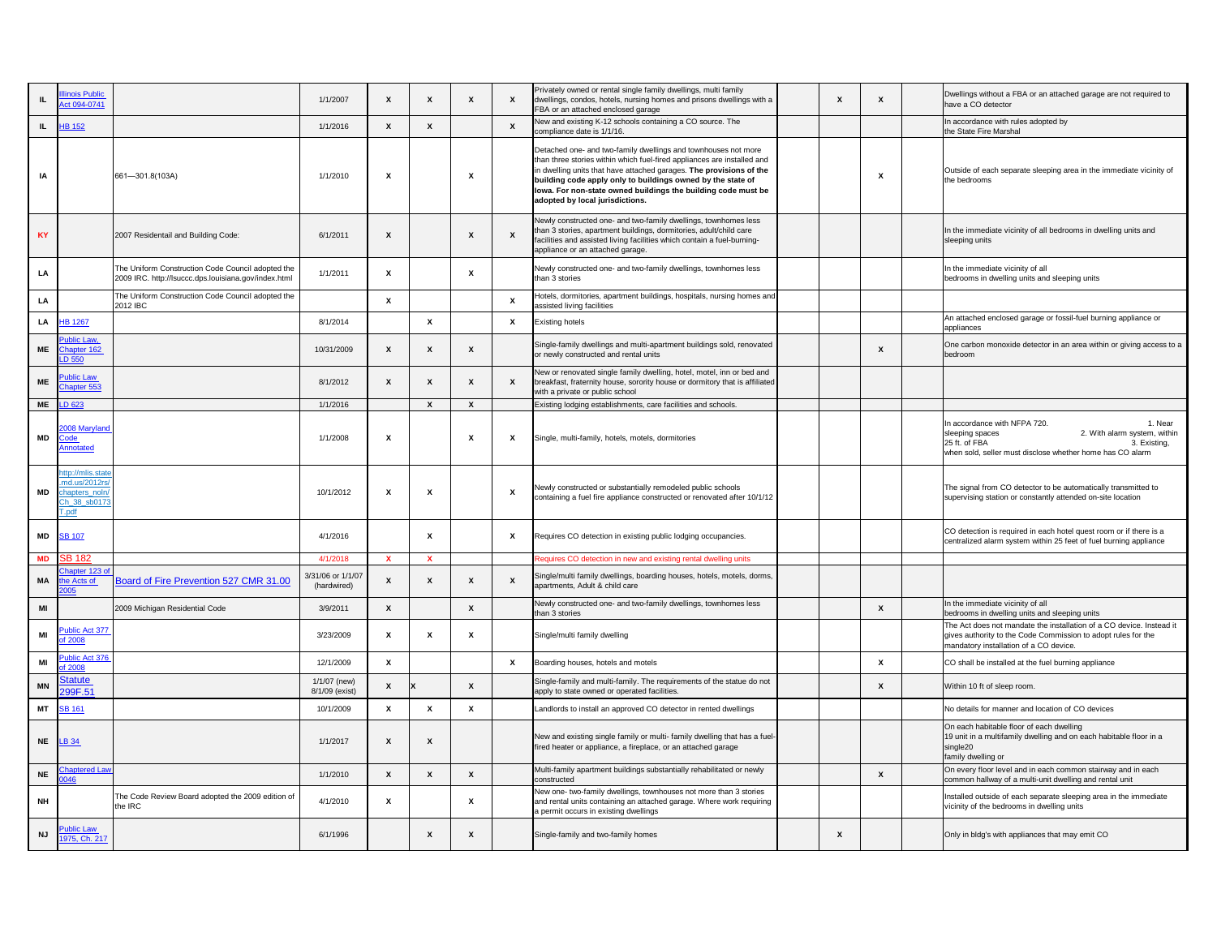| Χ | X | Dwellings without a FBA or an attached garage are not required to<br>have a CO detector                                                                                                                                          |
|---|---|----------------------------------------------------------------------------------------------------------------------------------------------------------------------------------------------------------------------------------|
|   |   | In accordance with rules adopted by<br>the State Fire Marshal                                                                                                                                                                    |
|   | X | Outside of each separate sleeping area in the immediate vicinity of<br>the bedrooms                                                                                                                                              |
|   |   | In the immediate vicinity of all bedrooms in dwelling units and<br>sleeping units                                                                                                                                                |
|   |   | In the immediate vicinity of all<br>bedrooms in dwelling units and sleeping units                                                                                                                                                |
|   |   |                                                                                                                                                                                                                                  |
|   |   | An attached enclosed garage or fossil-fuel burning appliance or<br>appliances                                                                                                                                                    |
|   | X | One carbon monoxide detector in an area within or giving access to a<br>bedroom                                                                                                                                                  |
|   |   |                                                                                                                                                                                                                                  |
|   |   |                                                                                                                                                                                                                                  |
|   |   | In accordance with NFPA 720.<br>1. Near<br>sleeping spaces<br>2. With alarm system, within<br>25 ft. of FBA<br>3. Existing,<br>when sold, seller must disclose whether home has CO alarm                                         |
|   |   | The signal from CO detector to be automatically transmitted to<br>supervising station or constantly attended on-site location                                                                                                    |
|   |   | CO detection is required in each hotel quest room or if there is a<br>centralized alarm system within 25 feet of fuel burning appliance                                                                                          |
|   |   |                                                                                                                                                                                                                                  |
|   | X | In the immediate vicinity of all                                                                                                                                                                                                 |
|   |   | bedrooms in dwelling units and sleeping units<br>The Act does not mandate the installation of a CO device. Instead it<br>gives authority to the Code Commission to adopt rules for the<br>mandatory installation of a CO device. |
|   | X | CO shall be installed at the fuel burning appliance                                                                                                                                                                              |
|   | X | Within 10 ft of sleep room.                                                                                                                                                                                                      |
|   |   | No details for manner and location of CO devices                                                                                                                                                                                 |
|   |   | On each habitable floor of each dwelling<br>19 unit in a multifamily dwelling and on each habitable floor in a<br>single20<br>family dwelling or                                                                                 |
|   | X | On every floor level and in each common stairway and in each<br>common hallway of a multi-unit dwelling and rental unit                                                                                                          |
|   |   | Installed outside of each separate sleeping area in the immediate<br>vicinity of the bedrooms in dwelling units                                                                                                                  |
| x |   | Only in bldg's with appliances that may emit CO                                                                                                                                                                                  |

| IL.       | nois Public<br>ct 094-0741                                                          |                                                                                                           | 1/1/2007                         | X                         | X                         | X                         |          | Privately owned or rental single family dwellings, multi family<br>dwellings, condos, hotels, nursing homes and prisons dwellings with a<br>FBA or an attached enclosed garage                                                                                                                                                                                                      |   |                           | Dwellings without a FBA or an attached garage are not required<br>have a CO detector                                                                                             |
|-----------|-------------------------------------------------------------------------------------|-----------------------------------------------------------------------------------------------------------|----------------------------------|---------------------------|---------------------------|---------------------------|----------|-------------------------------------------------------------------------------------------------------------------------------------------------------------------------------------------------------------------------------------------------------------------------------------------------------------------------------------------------------------------------------------|---|---------------------------|----------------------------------------------------------------------------------------------------------------------------------------------------------------------------------|
|           | IL $H B 152$                                                                        |                                                                                                           | 1/1/2016                         | X                         | $\mathsf{x}$              |                           |          | New and existing K-12 schools containing a CO source. The<br>compliance date is 1/1/16.                                                                                                                                                                                                                                                                                             |   |                           | In accordance with rules adopted by<br>the State Fire Marshal                                                                                                                    |
| IA        |                                                                                     | $[661 - 301.8(103A)]$                                                                                     | 1/1/2010                         | $\boldsymbol{\mathsf{x}}$ |                           | $\boldsymbol{\mathsf{x}}$ |          | Detached one- and two-family dwellings and townhouses not more<br>than three stories within which fuel-fired appliances are installed and<br>in dwelling units that have attached garages. The provisions of the<br>building code apply only to buildings owned by the state of<br>lowa. For non-state owned buildings the building code must be<br>adopted by local jurisdictions. |   | X                         | Outside of each separate sleeping area in the immediate vicinity<br>the bedrooms                                                                                                 |
| <b>KY</b> |                                                                                     | 2007 Residentail and Building Code:                                                                       | 6/1/2011                         | X                         |                           | $\mathsf{x}$              |          | Newly constructed one- and two-family dwellings, townhomes less<br>than 3 stories, apartment buildings, dormitories, adult/child care<br>facilities and assisted living facilities which contain a fuel-burning-<br>appliance or an attached garage.                                                                                                                                |   |                           | In the immediate vicinity of all bedrooms in dwelling units and<br>sleeping units                                                                                                |
| LA        |                                                                                     | The Uniform Construction Code Council adopted the<br>2009 IRC. http://lsuccc.dps.louisiana.gov/index.html | 1/1/2011                         | X                         |                           | $\boldsymbol{\mathsf{x}}$ |          | Newly constructed one- and two-family dwellings, townhomes less<br>than 3 stories                                                                                                                                                                                                                                                                                                   |   |                           | In the immediate vicinity of all<br>bedrooms in dwelling units and sleeping units                                                                                                |
| LA        |                                                                                     | The Uniform Construction Code Council adopted the<br>2012 IBC                                             |                                  | $\boldsymbol{\mathsf{x}}$ |                           |                           |          | Hotels, dormitories, apartment buildings, hospitals, nursing homes and<br>assisted living facilities                                                                                                                                                                                                                                                                                |   |                           |                                                                                                                                                                                  |
|           | LA <b>HB</b> 1267                                                                   |                                                                                                           | 8/1/2014                         |                           | $\mathsf{x}$              |                           | <b>X</b> | <b>Existing hotels</b>                                                                                                                                                                                                                                                                                                                                                              |   |                           | An attached enclosed garage or fossil-fuel burning appliance or<br>appliances                                                                                                    |
| <b>ME</b> | Public Law,<br>Chapter 162<br>LD 550                                                |                                                                                                           | 10/31/2009                       | Χ                         | X                         | $\boldsymbol{\mathsf{x}}$ |          | Single-family dwellings and multi-apartment buildings sold, renovated<br>or newly constructed and rental units                                                                                                                                                                                                                                                                      |   | X                         | One carbon monoxide detector in an area within or giving access<br>bedroom                                                                                                       |
| <b>ME</b> | ublic Law<br>hapter 553                                                             |                                                                                                           | 8/1/2012                         | X                         | $\boldsymbol{\mathsf{x}}$ | $\boldsymbol{\mathsf{x}}$ | X        | New or renovated single family dwelling, hotel, motel, inn or bed and<br>breakfast, fraternity house, sorority house or dormitory that is affiliated<br>with a private or public school                                                                                                                                                                                             |   |                           |                                                                                                                                                                                  |
| <b>ME</b> | LD 623                                                                              |                                                                                                           | 1/1/2016                         |                           | $\boldsymbol{\mathsf{x}}$ | $\mathsf{x}$              |          | Existing lodging establishments, care facilities and schools.                                                                                                                                                                                                                                                                                                                       |   |                           |                                                                                                                                                                                  |
| MD        | 2008 Maryland<br><b>Annotated</b>                                                   |                                                                                                           | 1/1/2008                         | X                         |                           | $\boldsymbol{\mathsf{x}}$ | X        | Single, multi-family, hotels, motels, dormitories                                                                                                                                                                                                                                                                                                                                   |   |                           | In accordance with NFPA 720.<br>1. Ne<br>2. With alarm system, wi<br>sleeping spaces<br>25 ft. of FBA<br>3. Existin<br>when sold, seller must disclose whether home has CO alarm |
| MD        | http://mlis.state<br>md.us/2012rs<br>hapters noln/<br>Ch 38 sb0173<br><b>T</b> .ndf |                                                                                                           | 10/1/2012                        | X                         | X                         |                           |          | Newly constructed or substantially remodeled public schools<br>containing a fuel fire appliance constructed or renovated after 10/1/12                                                                                                                                                                                                                                              |   |                           | The signal from CO detector to be automatically transmitted to<br>supervising station or constantly attended on-site location                                                    |
| MD        | SB 107                                                                              |                                                                                                           | 4/1/2016                         |                           | X                         |                           |          | Requires CO detection in existing public lodging occupancies.                                                                                                                                                                                                                                                                                                                       |   |                           | CO detection is required in each hotel quest room or if there is a<br>centralized alarm system within 25 feet of fuel burning appliance                                          |
| <b>MD</b> | <b>SB 182</b>                                                                       |                                                                                                           | 4/1/2018                         | $\mathbf{x}$              | $\mathbf{x}$              |                           |          | Requires CO detection in new and existing rental dwelling units                                                                                                                                                                                                                                                                                                                     |   |                           |                                                                                                                                                                                  |
| МA        | Chapter 123 of<br>e Acts of                                                         | Board of Fire Prevention 527 CMR 31.00                                                                    | 3/31/06 or 1/1/07<br>(hardwired) | X                         | X                         | $\boldsymbol{\mathsf{x}}$ |          | Single/multi family dwellings, boarding houses, hotels, motels, dorms,<br>apartments, Adult & child care                                                                                                                                                                                                                                                                            |   |                           |                                                                                                                                                                                  |
| MI        |                                                                                     | 2009 Michigan Residential Code                                                                            | 3/9/2011                         | X                         |                           | $\mathsf{x}$              |          | Newly constructed one- and two-family dwellings, townhomes less<br>than 3 stories                                                                                                                                                                                                                                                                                                   |   | $\boldsymbol{\mathsf{x}}$ | In the immediate vicinity of all<br>bedrooms in dwelling units and sleeping units                                                                                                |
| MI        | ublic Act 377<br>f 2008                                                             |                                                                                                           | 3/23/2009                        | X                         | X                         | $\boldsymbol{\mathsf{x}}$ |          | Single/multi family dwelling                                                                                                                                                                                                                                                                                                                                                        |   |                           | The Act does not mandate the installation of a CO device. Instea<br>gives authority to the Code Commission to adopt rules for the<br>mandatory installation of a CO device.      |
| MI        | lic Act 376<br>2008                                                                 |                                                                                                           | 12/1/2009                        | X                         |                           |                           |          | Boarding houses, hotels and motels                                                                                                                                                                                                                                                                                                                                                  |   | X                         | CO shall be installed at the fuel burning appliance                                                                                                                              |
| <b>MN</b> | Statute<br>99F.51                                                                   |                                                                                                           | $1/1/07$ (new)<br>8/1/09 (exist) | X                         |                           | $\boldsymbol{\mathsf{x}}$ |          | Single-family and multi-family. The requirements of the statue do not<br>apply to state owned or operated facilities.                                                                                                                                                                                                                                                               |   | $\boldsymbol{\mathsf{x}}$ | Within 10 ft of sleep room.                                                                                                                                                      |
| MT        | <b>SB 161</b>                                                                       |                                                                                                           | 10/1/2009                        | X                         | X                         | $\boldsymbol{\mathsf{x}}$ |          | Landlords to install an approved CO detector in rented dwellings                                                                                                                                                                                                                                                                                                                    |   |                           | No details for manner and location of CO devices                                                                                                                                 |
|           | <b>NE</b> LB 34                                                                     |                                                                                                           | 1/1/2017                         | X                         | $\mathbf{x}$              |                           |          | New and existing single family or multi- family dwelling that has a fuel-<br>fired heater or appliance, a fireplace, or an attached garage                                                                                                                                                                                                                                          |   |                           | On each habitable floor of each dwelling<br>19 unit in a multifamily dwelling and on each habitable floor in a<br>single20<br>family dwelling or                                 |
| <b>NE</b> | <b>Chaptered Lav</b>                                                                |                                                                                                           | 1/1/2010                         | X                         | X                         | $\mathsf{x}$              |          | Multi-family apartment buildings substantially rehabilitated or newly<br>constructed                                                                                                                                                                                                                                                                                                |   | X                         | On every floor level and in each common stairway and in each<br>common hallway of a multi-unit dwelling and rental unit                                                          |
| <b>NH</b> |                                                                                     | The Code Review Board adopted the 2009 edition of<br>the IRC                                              | 4/1/2010                         | х                         |                           | $\boldsymbol{\mathsf{x}}$ |          | New one- two-family dwellings, townhouses not more than 3 stories<br>and rental units containing an attached garage. Where work requiring<br>a permit occurs in existing dwellings                                                                                                                                                                                                  |   |                           | Installed outside of each separate sleeping area in the immediate<br>vicinity of the bedrooms in dwelling units                                                                  |
| <b>NJ</b> | Public Law<br>1975, Ch. 217                                                         |                                                                                                           | 6/1/1996                         |                           | X                         | $\boldsymbol{\mathsf{x}}$ |          | Single-family and two-family homes                                                                                                                                                                                                                                                                                                                                                  | X |                           | Only in bldg's with appliances that may emit CO                                                                                                                                  |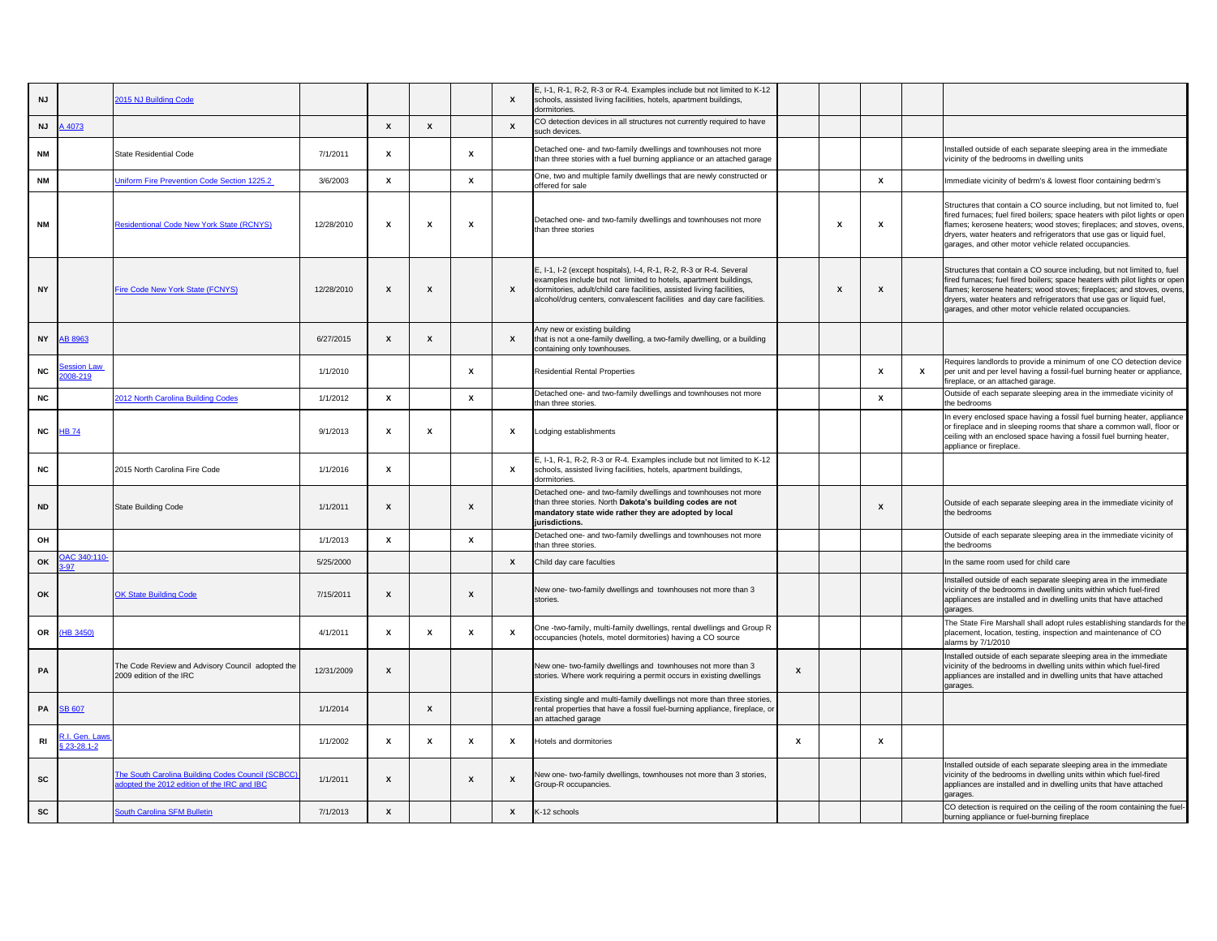| <b>NJ</b>      |                                | 2015 NJ Building Code                                                                            |            |                           |   |                           | $\boldsymbol{\mathsf{x}}$ | E, I-1, R-1, R-2, R-3 or R-4. Examples include but not limited to K-12<br>schools, assisted living facilities, hotels, apartment buildings,<br>dormitories.                                                                                                                               |   |   |              |                           |                                                                                                                                                                                                                                                                                                                                                                  |
|----------------|--------------------------------|--------------------------------------------------------------------------------------------------|------------|---------------------------|---|---------------------------|---------------------------|-------------------------------------------------------------------------------------------------------------------------------------------------------------------------------------------------------------------------------------------------------------------------------------------|---|---|--------------|---------------------------|------------------------------------------------------------------------------------------------------------------------------------------------------------------------------------------------------------------------------------------------------------------------------------------------------------------------------------------------------------------|
| <b>NJ</b>      | A 4073                         |                                                                                                  |            | $\mathsf{x}$              | X |                           | $\mathbf{x}$              | CO detection devices in all structures not currently required to have<br>such devices.                                                                                                                                                                                                    |   |   |              |                           |                                                                                                                                                                                                                                                                                                                                                                  |
| <b>NM</b>      |                                | State Residential Code                                                                           | 7/1/2011   | X                         |   |                           |                           | Detached one- and two-family dwellings and townhouses not more<br>than three stories with a fuel burning appliance or an attached garage                                                                                                                                                  |   |   |              |                           | Installed outside of each separate sleeping area in the immediate<br>vicinity of the bedrooms in dwelling units                                                                                                                                                                                                                                                  |
| <b>NM</b>      |                                | <b>Jniform Fire Prevention Code Section 1225.2</b>                                               | 3/6/2003   | $\mathsf{x}$              |   | X                         |                           | One, two and multiple family dwellings that are newly constructed or<br>offered for sale                                                                                                                                                                                                  |   |   | $\mathsf{x}$ |                           | Immediate vicinity of bedrm's & lowest floor containing bedrm's                                                                                                                                                                                                                                                                                                  |
| <b>NM</b>      |                                | <b>Residentional Code New York State (RCNYS)</b>                                                 | 12/28/2010 | $\boldsymbol{\mathsf{x}}$ | X | X                         |                           | Detached one- and two-family dwellings and townhouses not more<br>than three stories                                                                                                                                                                                                      |   | х | X            |                           | Structures that contain a CO source including, but not limited to, fuel<br>fired furnaces; fuel fired boilers; space heaters with pilot lights or open<br>flames; kerosene heaters; wood stoves; fireplaces; and stoves, ovens,<br>dryers, water heaters and refrigerators that use gas or liquid fuel,<br>garages, and other motor vehicle related occupancies. |
| <b>NY</b>      |                                | Fire Code New York State (FCNYS)                                                                 | 12/28/2010 | $\boldsymbol{\mathsf{x}}$ | X |                           | $\boldsymbol{\mathsf{x}}$ | E, I-1, I-2 (except hospitals), I-4, R-1, R-2, R-3 or R-4. Several<br>examples include but not limited to hotels, apartment buildings,<br>dormitories, adult/child care facilities, assisted living facilities,<br>alcohol/drug centers, convalescent facilities and day care facilities. |   |   | X            |                           | Structures that contain a CO source including, but not limited to, fuel<br>fired furnaces; fuel fired boilers; space heaters with pilot lights or open<br>flames; kerosene heaters; wood stoves; fireplaces; and stoves, ovens,<br>dryers, water heaters and refrigerators that use gas or liquid fuel,<br>garages, and other motor vehicle related occupancies. |
| <b>NY</b>      | <b>AB 8963</b>                 |                                                                                                  | 6/27/2015  | X                         |   |                           | $\mathsf{x}$              | Any new or existing building<br>that is not a one-family dwelling, a two-family dwelling, or a building<br>containing only townhouses.                                                                                                                                                    |   |   |              |                           |                                                                                                                                                                                                                                                                                                                                                                  |
| NC             | ession Law<br>008-219          |                                                                                                  | 1/1/2010   |                           |   | X                         |                           | <b>Residential Rental Properties</b>                                                                                                                                                                                                                                                      |   |   |              | $\boldsymbol{\mathsf{x}}$ | Requires landlords to provide a minimum of one CO detection device<br>per unit and per level having a fossil-fuel burning heater or appliance,<br>fireplace, or an attached garage.                                                                                                                                                                              |
| <b>NC</b>      |                                | 2012 North Carolina Building Codes                                                               | 1/1/2012   | $\mathsf{x}$              |   | X                         |                           | Detached one- and two-family dwellings and townhouses not more<br>than three stories.                                                                                                                                                                                                     |   |   | X            |                           | Outside of each separate sleeping area in the immediate vicinity of<br>the bedrooms                                                                                                                                                                                                                                                                              |
| NC             | <b>HB 74</b>                   |                                                                                                  | 9/1/2013   | X                         |   |                           | $\boldsymbol{\mathsf{x}}$ | Lodging establishments                                                                                                                                                                                                                                                                    |   |   |              |                           | In every enclosed space having a fossil fuel burning heater, appliance<br>or fireplace and in sleeping rooms that share a common wall, floor or<br>ceiling with an enclosed space having a fossil fuel burning heater,<br>appliance or fireplace.                                                                                                                |
| <b>NC</b>      |                                | 2015 North Carolina Fire Code                                                                    | 1/1/2016   | $\mathsf{x}$              |   |                           | $\mathsf{x}$              | E, I-1, R-1, R-2, R-3 or R-4. Examples include but not limited to K-12<br>schools, assisted living facilities, hotels, apartment buildings,<br>dormitories.                                                                                                                               |   |   |              |                           |                                                                                                                                                                                                                                                                                                                                                                  |
| <b>ND</b>      |                                | <b>State Building Code</b>                                                                       | 1/1/2011   | $\boldsymbol{\mathsf{x}}$ |   | X                         |                           | Detached one- and two-family dwellings and townhouses not more<br>than three stories. North Dakota's building codes are not<br>mandatory state wide rather they are adopted by local<br>jurisdictions.                                                                                    |   |   |              |                           | Outside of each separate sleeping area in the immediate vicinity of<br>the bedrooms                                                                                                                                                                                                                                                                              |
| OH             |                                |                                                                                                  | 1/1/2013   | $\mathsf{x}$              |   | X                         |                           | Detached one- and two-family dwellings and townhouses not more<br>than three stories.                                                                                                                                                                                                     |   |   |              |                           | Outside of each separate sleeping area in the immediate vicinity of<br>the bedrooms                                                                                                                                                                                                                                                                              |
| OK             | DAC 340:110-<br>$-97$          |                                                                                                  | 5/25/2000  |                           |   |                           | $\mathsf{x}$              | Child day care faculties                                                                                                                                                                                                                                                                  |   |   |              |                           | In the same room used for child care                                                                                                                                                                                                                                                                                                                             |
| OK             |                                | <b>OK State Building Code</b>                                                                    | 7/15/2011  | $\boldsymbol{\mathsf{x}}$ |   | X                         |                           | New one- two-family dwellings and townhouses not more than 3<br>stories.                                                                                                                                                                                                                  |   |   |              |                           | Installed outside of each separate sleeping area in the immediate<br>vicinity of the bedrooms in dwelling units within which fuel-fired<br>appliances are installed and in dwelling units that have attached<br>garages.                                                                                                                                         |
| OR             | (HB 3450)                      |                                                                                                  | 4/1/2011   | $\boldsymbol{\mathsf{x}}$ |   |                           | $\boldsymbol{\mathsf{x}}$ | One -two-family, multi-family dwellings, rental dwellings and Group R<br>occupancies (hotels, motel dormitories) having a CO source                                                                                                                                                       |   |   |              |                           | The State Fire Marshall shall adopt rules establishing standards for the<br>placement, location, testing, inspection and maintenance of CO<br>alarms by 7/1/2010                                                                                                                                                                                                 |
| PA             |                                | The Code Review and Advisory Council adopted the<br>2009 edition of the IRC                      | 12/31/2009 | X                         |   |                           |                           | New one- two-family dwellings and townhouses not more than 3<br>stories. Where work requiring a permit occurs in existing dwellings                                                                                                                                                       | X |   |              |                           | Installed outside of each separate sleeping area in the immediate<br>vicinity of the bedrooms in dwelling units within which fuel-fired<br>appliances are installed and in dwelling units that have attached<br>garages.                                                                                                                                         |
| PA             | <b>SB 607</b>                  |                                                                                                  | 1/1/2014   |                           |   |                           |                           | Existing single and multi-family dwellings not more than three stories,<br>rental properties that have a fossil fuel-burning appliance, fireplace, or<br>an attached garage                                                                                                               |   |   |              |                           |                                                                                                                                                                                                                                                                                                                                                                  |
| R <sub>l</sub> | R.I. Gen. Laws<br>$$23-28.1-2$ |                                                                                                  | 1/1/2002   | X                         |   | х                         | X                         | Hotels and dormitories                                                                                                                                                                                                                                                                    | X |   | X            |                           |                                                                                                                                                                                                                                                                                                                                                                  |
| <b>SC</b>      |                                | The South Carolina Building Codes Council (SCBCC)<br>adopted the 2012 edition of the IRC and IBC | 1/1/2011   | $\boldsymbol{\mathsf{x}}$ |   | $\boldsymbol{\mathsf{x}}$ | X                         | New one-two-family dwellings, townhouses not more than 3 stories,<br>Group-R occupancies.                                                                                                                                                                                                 |   |   |              |                           | Installed outside of each separate sleeping area in the immediate<br>vicinity of the bedrooms in dwelling units within which fuel-fired<br>appliances are installed and in dwelling units that have attached<br>garages.                                                                                                                                         |
| SC             |                                | <b>South Carolina SFM Bulletin</b>                                                               | 7/1/2013   | $\mathsf{x}$              |   |                           | $\mathsf{x}$              | K-12 schools                                                                                                                                                                                                                                                                              |   |   |              |                           | CO detection is required on the ceiling of the room containing the fuel-<br>burning appliance or fuel-burning fireplace                                                                                                                                                                                                                                          |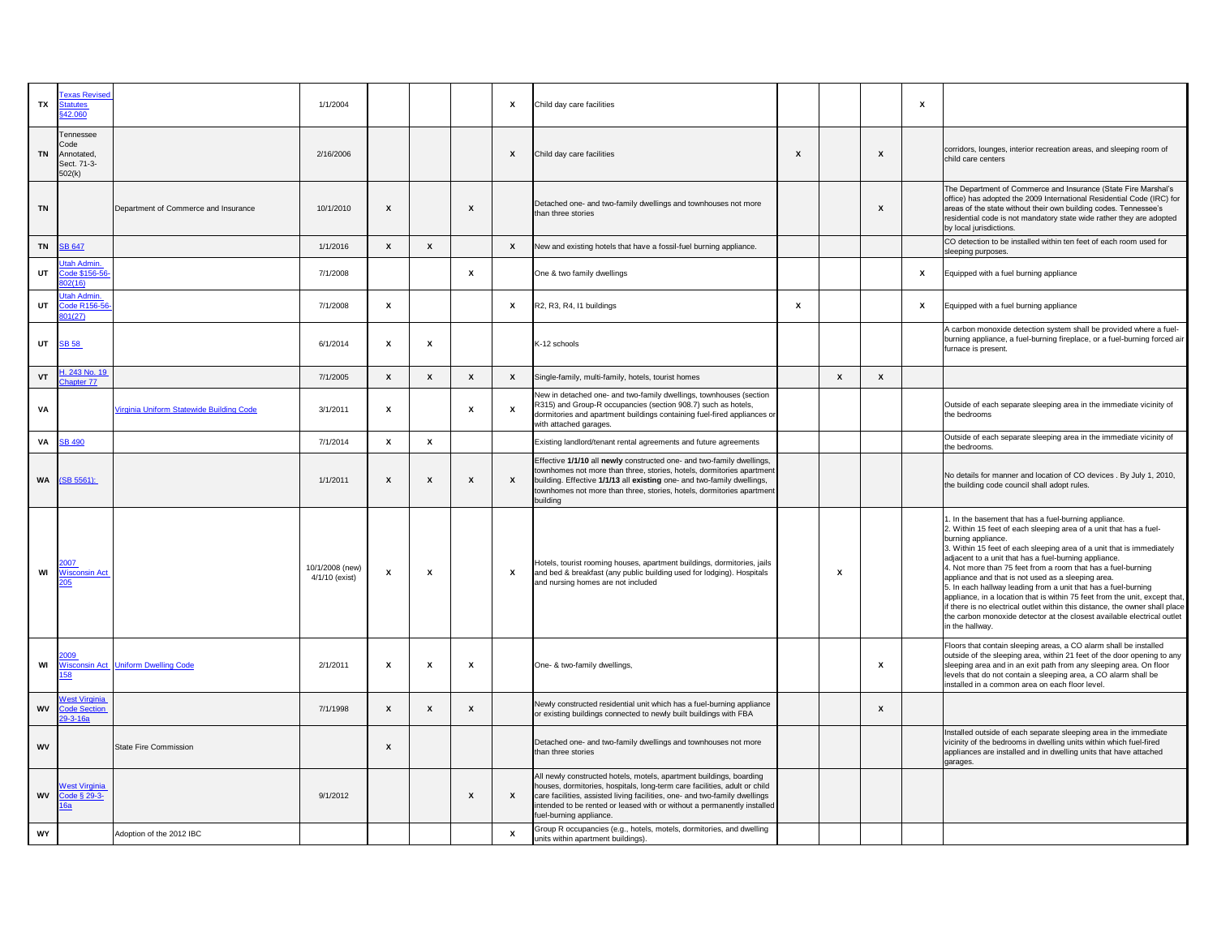| <b>TX</b> | exas Revise<br>atutes<br>42.060                                 |                                            | 1/1/2004                          |                           |   |                           | X                         | Child day care facilities                                                                                                                                                                                                                                                                                                            |                           |   |                           | $\boldsymbol{\mathsf{x}}$ |                                                                                                                                                                                                                                                                                                                                                                                                                                                                                                                                                                                                                                                                                                                                          |
|-----------|-----------------------------------------------------------------|--------------------------------------------|-----------------------------------|---------------------------|---|---------------------------|---------------------------|--------------------------------------------------------------------------------------------------------------------------------------------------------------------------------------------------------------------------------------------------------------------------------------------------------------------------------------|---------------------------|---|---------------------------|---------------------------|------------------------------------------------------------------------------------------------------------------------------------------------------------------------------------------------------------------------------------------------------------------------------------------------------------------------------------------------------------------------------------------------------------------------------------------------------------------------------------------------------------------------------------------------------------------------------------------------------------------------------------------------------------------------------------------------------------------------------------------|
| <b>TN</b> | <b>Tennessee</b><br>Code<br>Annotated,<br>Sect. 71-3-<br>502(k) |                                            | 2/16/2006                         |                           |   |                           | $\boldsymbol{\mathsf{x}}$ | Child day care facilities                                                                                                                                                                                                                                                                                                            | $\boldsymbol{\mathsf{x}}$ |   |                           |                           | corridors, lounges, interior recreation areas, and sleeping room of<br>child care centers                                                                                                                                                                                                                                                                                                                                                                                                                                                                                                                                                                                                                                                |
| <b>TN</b> |                                                                 | Department of Commerce and Insurance       | 10/1/2010                         | $\boldsymbol{\mathsf{x}}$ |   | $\boldsymbol{\mathsf{x}}$ |                           | Detached one- and two-family dwellings and townhouses not more<br>than three stories                                                                                                                                                                                                                                                 |                           |   | $\boldsymbol{\mathsf{x}}$ |                           | The Department of Commerce and Insurance (State Fire Marshal's<br>office) has adopted the 2009 International Residential Code (IRC) for<br>areas of the state without their own building codes. Tennessee's<br>residential code is not mandatory state wide rather they are adopted<br>by local jurisdictions.                                                                                                                                                                                                                                                                                                                                                                                                                           |
| <b>TN</b> | <b>SB 647</b>                                                   |                                            | 1/1/2016                          | $\mathbf x$               | X |                           | $\mathsf{x}$              | New and existing hotels that have a fossil-fuel burning appliance.                                                                                                                                                                                                                                                                   |                           |   |                           |                           | CO detection to be installed within ten feet of each room used for<br>sleeping purposes.                                                                                                                                                                                                                                                                                                                                                                                                                                                                                                                                                                                                                                                 |
| UT        | tah Admin.<br>code \$156-56<br>02(16)                           |                                            | 7/1/2008                          |                           |   | $\boldsymbol{\mathsf{x}}$ |                           | One & two family dwellings                                                                                                                                                                                                                                                                                                           |                           |   |                           | $\boldsymbol{\mathsf{x}}$ | Equipped with a fuel burning appliance                                                                                                                                                                                                                                                                                                                                                                                                                                                                                                                                                                                                                                                                                                   |
| UT        | tah Admin.<br>ode R156-56<br>301(27)                            |                                            | 7/1/2008                          | $\boldsymbol{\mathsf{x}}$ |   |                           | X                         | R2, R3, R4, I1 buildings                                                                                                                                                                                                                                                                                                             | X                         |   |                           | $\boldsymbol{\mathsf{x}}$ | Equipped with a fuel burning appliance                                                                                                                                                                                                                                                                                                                                                                                                                                                                                                                                                                                                                                                                                                   |
|           | UT <b>SB 58</b>                                                 |                                            | 6/1/2014                          | $\boldsymbol{\mathsf{x}}$ | X |                           |                           | K-12 schools                                                                                                                                                                                                                                                                                                                         |                           |   |                           |                           | A carbon monoxide detection system shall be provided where a fuel-<br>burning appliance, a fuel-burning fireplace, or a fuel-burning forced air<br>furnace is present.                                                                                                                                                                                                                                                                                                                                                                                                                                                                                                                                                                   |
| VT        | 1. 243 No. 19<br>hapter 77                                      |                                            | 7/1/2005                          | $\mathsf{x}$              | X | X                         | $\mathsf{x}$              | Single-family, multi-family, hotels, tourist homes                                                                                                                                                                                                                                                                                   |                           | X | $\mathsf{x}$              |                           |                                                                                                                                                                                                                                                                                                                                                                                                                                                                                                                                                                                                                                                                                                                                          |
| VA        |                                                                 | Virginia Uniform Statewide Building Code   | 3/1/2011                          | X                         |   | X                         | $\boldsymbol{\mathsf{x}}$ | New in detached one- and two-family dwellings, townhouses (section<br>R315) and Group-R occupancies (section 908.7) such as hotels,<br>dormitories and apartment buildings containing fuel-fired appliances or<br>with attached garages.                                                                                             |                           |   |                           |                           | Outside of each separate sleeping area in the immediate vicinity of<br>the bedrooms                                                                                                                                                                                                                                                                                                                                                                                                                                                                                                                                                                                                                                                      |
|           | <b>VA</b> SB 490                                                |                                            | 7/1/2014                          | $\mathsf{x}$              |   |                           |                           | Existing landlord/tenant rental agreements and future agreements                                                                                                                                                                                                                                                                     |                           |   |                           |                           | Outside of each separate sleeping area in the immediate vicinity of<br>the bedrooms.                                                                                                                                                                                                                                                                                                                                                                                                                                                                                                                                                                                                                                                     |
| <b>WA</b> | $(SB 5561)$ :                                                   |                                            | 1/1/2011                          | X                         | X | X                         | X                         | Effective 1/1/10 all newly constructed one- and two-family dwellings,<br>townhomes not more than three, stories, hotels, dormitories apartment<br>building. Effective 1/1/13 all existing one- and two-family dwellings,<br>townhomes not more than three, stories, hotels, dormitories apartment<br>building                        |                           |   |                           |                           | No details for manner and location of CO devices . By July 1, 2010,<br>the building code council shall adopt rules.                                                                                                                                                                                                                                                                                                                                                                                                                                                                                                                                                                                                                      |
| WI        | 2007<br><b>Wisconsin Act</b><br>205                             |                                            | 10/1/2008 (new)<br>4/1/10 (exist) | X                         | X |                           | X                         | Hotels, tourist rooming houses, apartment buildings, dormitories, jails<br>and bed & breakfast (any public building used for lodging). Hospitals<br>and nursing homes are not included                                                                                                                                               |                           | X |                           |                           | 1. In the basement that has a fuel-burning appliance.<br>2. Within 15 feet of each sleeping area of a unit that has a fuel-<br>burning appliance.<br>3. Within 15 feet of each sleeping area of a unit that is immediately<br>adjacent to a unit that has a fuel-burning appliance.<br>4. Not more than 75 feet from a room that has a fuel-burning<br>appliance and that is not used as a sleeping area.<br>5. In each hallway leading from a unit that has a fuel-burning<br>appliance, in a location that is within 75 feet from the unit, except that,<br>if there is no electrical outlet within this distance, the owner shall place<br>the carbon monoxide detector at the closest available electrical outlet<br>in the hallway. |
| WI        |                                                                 | <b>Wisconsin Act Uniform Dwelling Code</b> | 2/1/2011                          | $\boldsymbol{x}$          | X | $\mathbf{x}$              |                           | One- & two-family dwellings,                                                                                                                                                                                                                                                                                                         |                           |   | $\boldsymbol{\mathsf{x}}$ |                           | Floors that contain sleeping areas, a CO alarm shall be installed<br>outside of the sleeping area, within 21 feet of the door opening to any<br>sleeping area and in an exit path from any sleeping area. On floor<br>levels that do not contain a sleeping area, a CO alarm shall be<br>installed in a common area on each floor level.                                                                                                                                                                                                                                                                                                                                                                                                 |
|           | <b>West Virginia</b><br><b>WV</b> Code Section<br>29-3-16a      |                                            | 7/1/1998                          | $\mathsf{x}$              |   | $\boldsymbol{\mathsf{x}}$ |                           | Newly constructed residential unit which has a fuel-burning appliance<br>or existing buildings connected to newly built buildings with FBA                                                                                                                                                                                           |                           |   | $\boldsymbol{\mathsf{x}}$ |                           |                                                                                                                                                                                                                                                                                                                                                                                                                                                                                                                                                                                                                                                                                                                                          |
| WV        |                                                                 | State Fire Commission                      |                                   | $\boldsymbol{\mathsf{x}}$ |   |                           |                           | Detached one- and two-family dwellings and townhouses not more<br>than three stories                                                                                                                                                                                                                                                 |                           |   |                           |                           | Installed outside of each separate sleeping area in the immediate<br>vicinity of the bedrooms in dwelling units within which fuel-fired<br>appliances are installed and in dwelling units that have attached<br>garages.                                                                                                                                                                                                                                                                                                                                                                                                                                                                                                                 |
| <b>WV</b> | <b>West Virginia</b><br>Code § 29-3-<br><u> 6a</u>              |                                            | 9/1/2012                          |                           |   | X                         | $\mathsf{x}$              | All newly constructed hotels, motels, apartment buildings, boarding<br>houses, dormitories, hospitals, long-term care facilities, adult or child<br>care facilities, assisted living facilities, one- and two-family dwellings<br>intended to be rented or leased with or without a permanently installed<br>fuel-burning appliance. |                           |   |                           |                           |                                                                                                                                                                                                                                                                                                                                                                                                                                                                                                                                                                                                                                                                                                                                          |
| WY        |                                                                 | Adoption of the 2012 IBC                   |                                   |                           |   |                           | $\boldsymbol{\mathsf{x}}$ | Group R occupancies (e.g., hotels, motels, dormitories, and dwelling<br>units within apartment buildings).                                                                                                                                                                                                                           |                           |   |                           |                           |                                                                                                                                                                                                                                                                                                                                                                                                                                                                                                                                                                                                                                                                                                                                          |